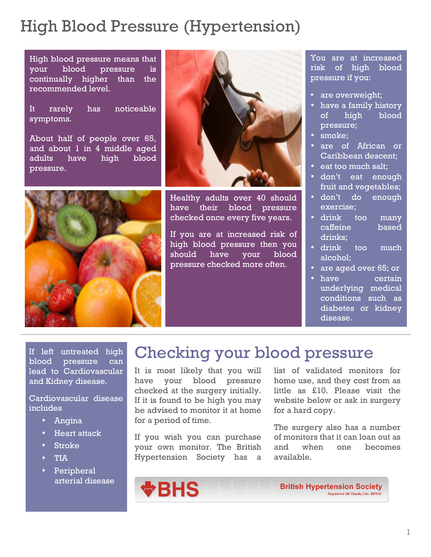# High Blood Pressure (Hypertension)

High blood pressure means that your blood pressure is continually higher than the recommended level.

It rarely has noticeable symptoms.

About half of people over 65, and about  $1$  in  $4$  middle aged adults have high blood pressure.





Healthy adults over 40 should have their blood pressure checked once every five years.

If you are at increased risk of high blood pressure then you should have your blood pressure checked more often.

You are at increased risk of high blood pressure if you:

- are overweight;
- **idinary** pressure; • have a family history of high blood
- nisl fringilla eleifend. • smoke;
- are of African or Caribbean descent;
- eat too much salt;
- don't eat enough fruit and vegetables;  $\overline{\phantom{a}}$
- ao enough exercise; • don't do
- based ut, sodales eget, sodales eget, sodales eget, sodales eget, sodales eget, sodales eget, sodales eget, sodales<br>En el seget, sodales eget, sodales eget, sodales eget, sodales eget, sodales eget, sodales eget, sodales eget, caffeine based • drink too many drinks;
- too much alcohol; • drink  $\overline{\phantom{a}}$
- are aged over  $65$ ; or
- Uti et na underlying medical conditions such as diabetes or kidney have certain disease.

lead to Cardiovascular and Kidney disease.

Cardiovascular disease includes

- Angina
- Heart attack
- **Stroke**
- TIA
- Peripheral arterial disease

# If left untreated high Checking your blood pressure

It is most likely that you will have your blood pressure checked at the surgery initially. If it is found to be high you may be advised to monitor it at home for a period of time.

If you wish you can purchase your own monitor. The British Hypertension Society has a

list of validated monitors for home use, and they cost from as little as £10. Please visit the website below or ask in surgery for a hard copy.

The surgery also has a number of monitors that it can loan out as and when one becomes available.



**British Hypertension Society** Registered UK Charity | No. 287635